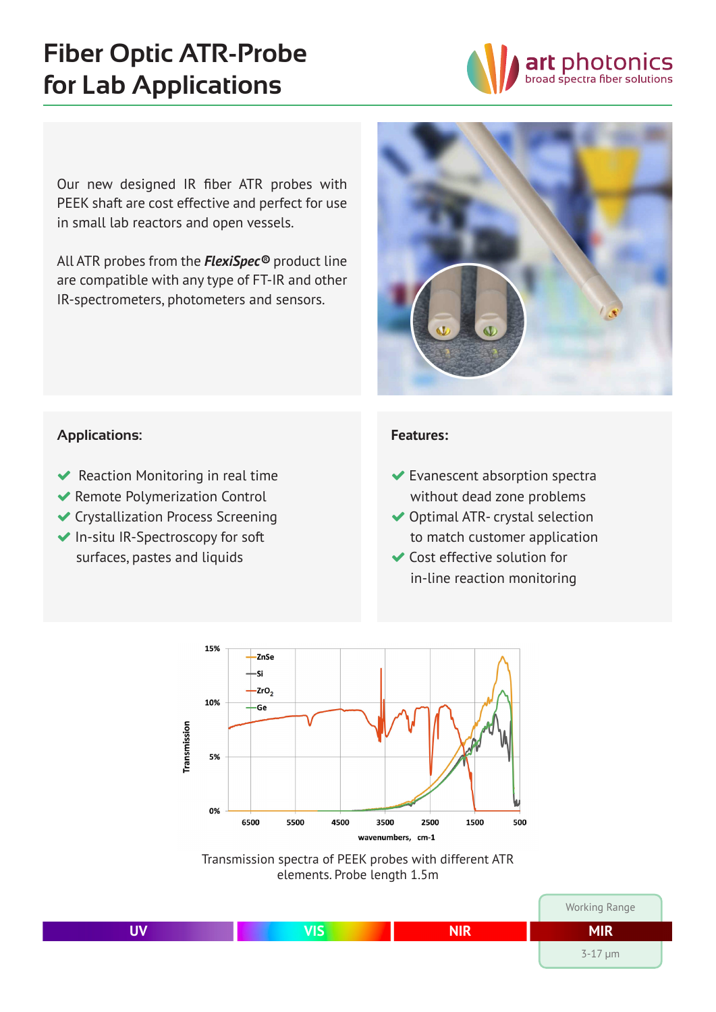# **Fiber Optic ATR-Probe for Lab Applications**



Our new designed IR fiber ATR probes with PEEK shaft are cost effective and perfect for use in small lab reactors and open vessels.

All ATR probes from the *FlexiSpec®* product line are compatible with any type of FT-IR and other IR-spectrometers, photometers and sensors.



#### **Applications:**

- $\blacktriangleright$  Reaction Monitoring in real time
- � Remote Polymerization Control
- � Crystallization Process Screening
- ◆ In-situ IR-Spectroscopy for soft surfaces, pastes and liquids

#### **Features:**

- � Evanescent absorption spectra without dead zone problems
- ◆ Optimal ATR- crystal selection to match customer application
- � Cost effective solution for in-line reaction monitoring



Transmission spectra of PEEK probes with different ATR elements. Probe length 1.5m

|   |                |            | Working Range  |
|---|----------------|------------|----------------|
| . | $\overline{I}$ | <b>NIR</b> | <b>MIR</b>     |
|   |                |            | $3 - 17 \mu m$ |